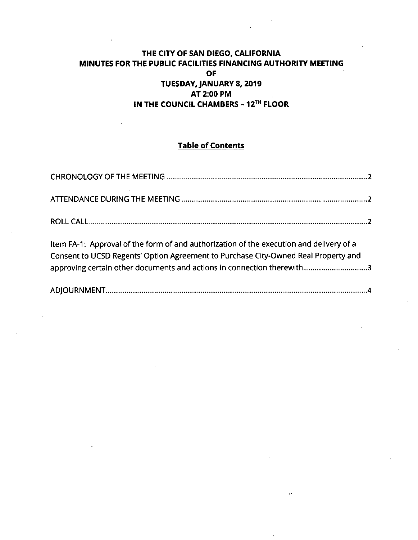## **THE CITY OF SAN DIEGO, CALIFORNIA MINUTES FOR THE PUBLIC FACILITIES FINANCING AUTHORITY MEETING OF TUESDAYJANUARY 8, 2019 AT 2:00 PM IN THE COUNCIL CHAMBERS - 12™ FLOOR**

# **Table of Contents**

| Item FA-1: Approval of the form of and authorization of the execution and delivery of a<br>Consent to UCSD Regents' Option Agreement to Purchase City-Owned Real Property and<br>approving certain other documents and actions in connection therewith3 |  |
|---------------------------------------------------------------------------------------------------------------------------------------------------------------------------------------------------------------------------------------------------------|--|
|                                                                                                                                                                                                                                                         |  |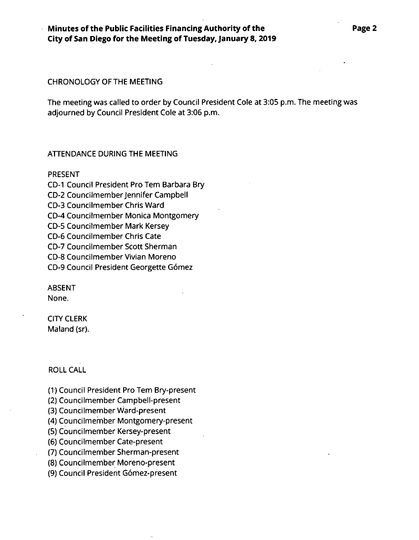### **Minutes of the Public Facilities Financing Authority of the City of San Diego for the Meeting ofTuesdayJanuary 8, 2019**

#### CHRONOLOGY OF THE MEETING

The meeting was called to order by Council President Cole at 3:05 p.m. The meeting was adjourned by Council President Cole at 3:06 p.m.

#### ATTENDANCE DURING THE MEETING

#### PRESENT

CD-I Council President Pro Tern Barbara Bry CD-2 Councilmember Jennifer Campbell CD-3 Councilmember Chris Ward CD-4 Councilmember Monica Montgomery CD-5 Councilmember Mark Kersey CD-6 Councilmember Chris Cate CD-7 Councilmember Scott Sherman CD-8 Councilmember Vivian Moreno CD-9 Council President Georgette Gomez

**ABSENT** None.

CITY CLERK Maland (sr).

#### ROLL CALL

(1) Council President Pro Tem Bry-present

(2) Councilmember Campbell-present

(3) Councilmember Ward-present

(4) Councilmember Montgomery-present

(5) Councilmember Kersey-present

(6) Councilmember Cate-present

(7) Councilmember Sherman-present

(8) Councilmember Moreno-present

(9) Council President Gomez-present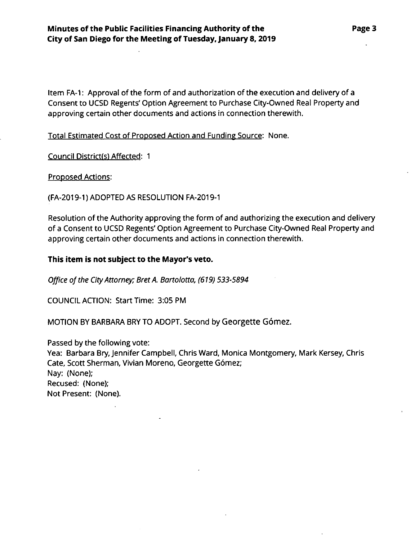Item FA-1: Approval of the form of and authorization of the execution and delivery of a Consent to UCSD Regents' Option Agreement to Purchase City-Owned Real Property and approving certain other documents and actions tn connection therewith.

Total Estimated Cost of Proposed Action and Funding Source: None.

Council District(s) Affected: <sup>1</sup>

Proposed Actions:

(FA-2019-1) ADOPTED AS RESOLUTION FA-2019-1

Resolution of the Authority approving the form of and authorizing the execution and delivery of a Consent to UCSD Regents'Option Agreement to Purchase City-Owned Real Property and approving certain other documents and actions in connection therewith.

### **This item is not subject to the Mayor's veto.**

*Office ofthe CityAttorney; Bret A. Bartolotta, (619) 533-5894*

COUNCIL ACTION: Start Time: 3:05 PM

MOTION BY BARBARA BRY TO ADOPT. Second by Georgette Gómez.

Passed by the following vote: Yea: Barbara Bry, Jennifer Campbell, Chris Ward, Monica Montgomery, Mark Kersey, Chris Cate, Scott Sherman, Vivian Moreno, Georgette Gómez; Nay: (None);

Recused: (None); Not Present: (None).